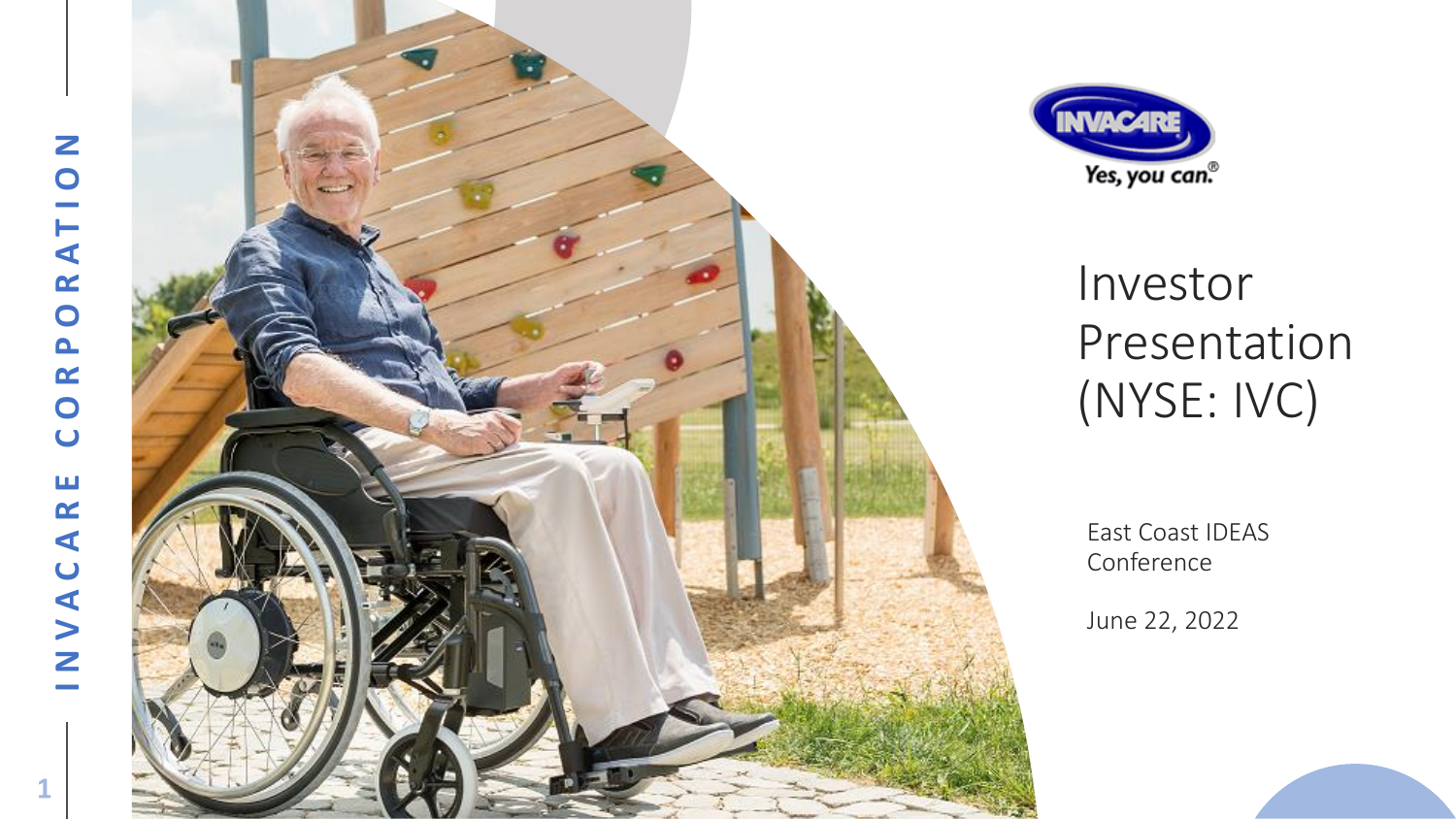$\mathbf{1}$ 





# Investor Presentation (NYSE: IVC)

East Coast IDEAS Conference

June 22, 2022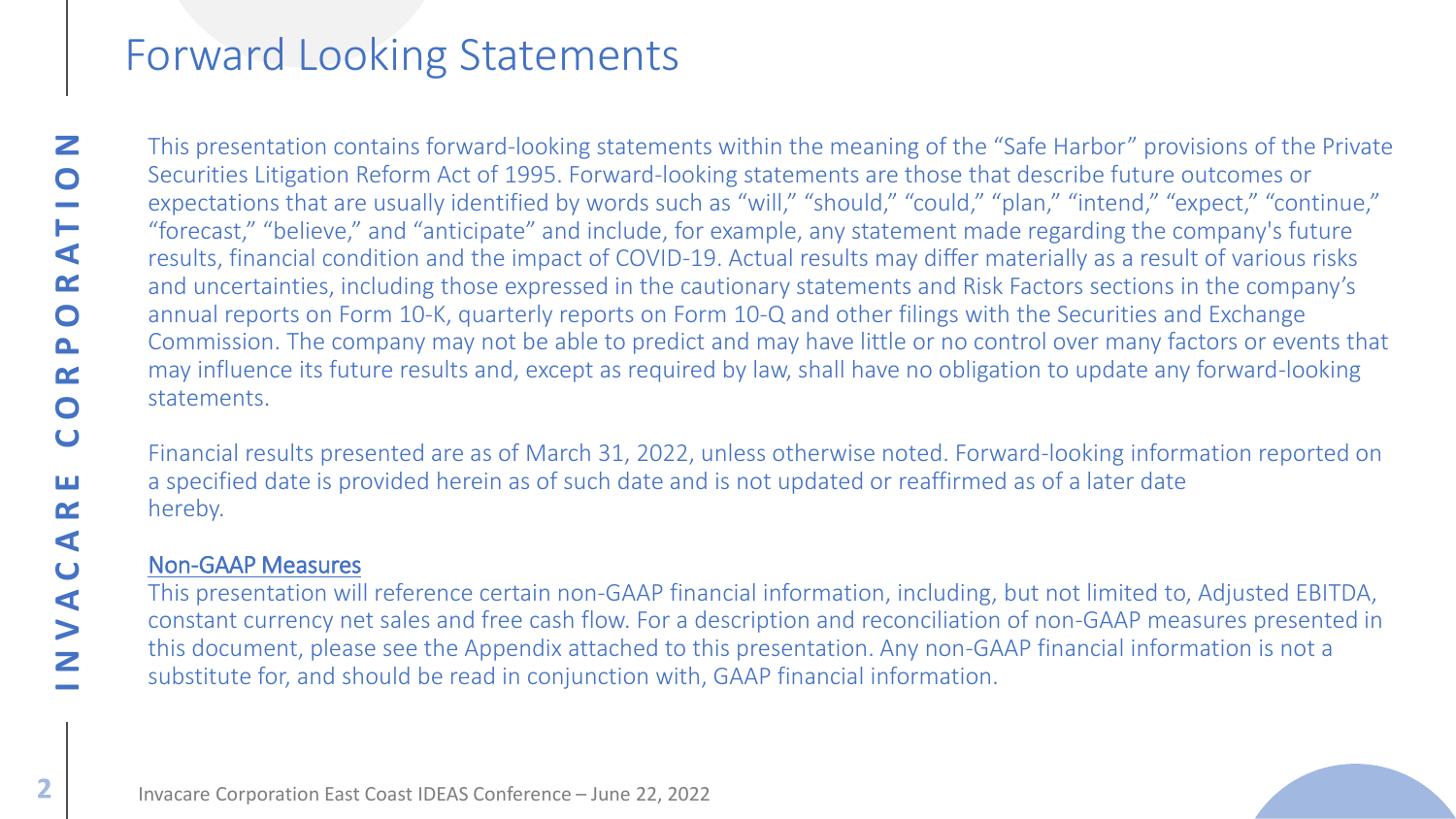### Forward Looking Statements

INVACARE CORPORATION Z  $\bullet$ **Contract**  $\vdash$  $\blacktriangleleft$  $\alpha$  $\bullet$  $\mathbf{\Omega}$  $\alpha$  $\bullet$  $\overline{\mathbf{C}}$ ш  $\alpha$  $\blacktriangleleft$  $\overline{\mathbf{C}}$ NVA

This presentation contains forward-looking statements within the meaning of the "Safe Harbor" provisions of the Private Securities Litigation Reform Act of 1995. Forward-looking statements are those that describe future outcomes or expectations that are usually identified by words such as "will," "should," "could," "plan," "intend," "expect," "continue," "forecast," "believe," and "anticipate" and include, for example, any statement made regarding the company's future results, financial condition and the impact of COVID-19. Actual results may differ materially as a result of various risks and uncertainties, including those expressed in the cautionary statements and Risk Factors sections in the company's annual reports on Form 10-K, quarterly reports on Form 10-Q and other filings with the Securities and Exchange Commission. The company may not be able to predict and may have little or no control over many factors or events that may influence its future results and, except as required by law, shall have no obligation to update any forward-looking statements. .

Financial results presented are as of March 31, 2022, unless otherwise noted. Forward-looking information reported on a specified date is provided herein as of such date and is not updated or reaffirmed as of a later date hereby.

#### Non-GAAP Measures .

This presentation will reference certain non-GAAP financial information, including, but not limited to, Adjusted EBITDA, constant currency net sales and free cash flow. For a description and reconciliation of non-GAAP measures presented in this document, please see the Appendix attached to this presentation. Any non-GAAP financial information is not a substitute for, and should be read in conjunction with, GAAP financial information.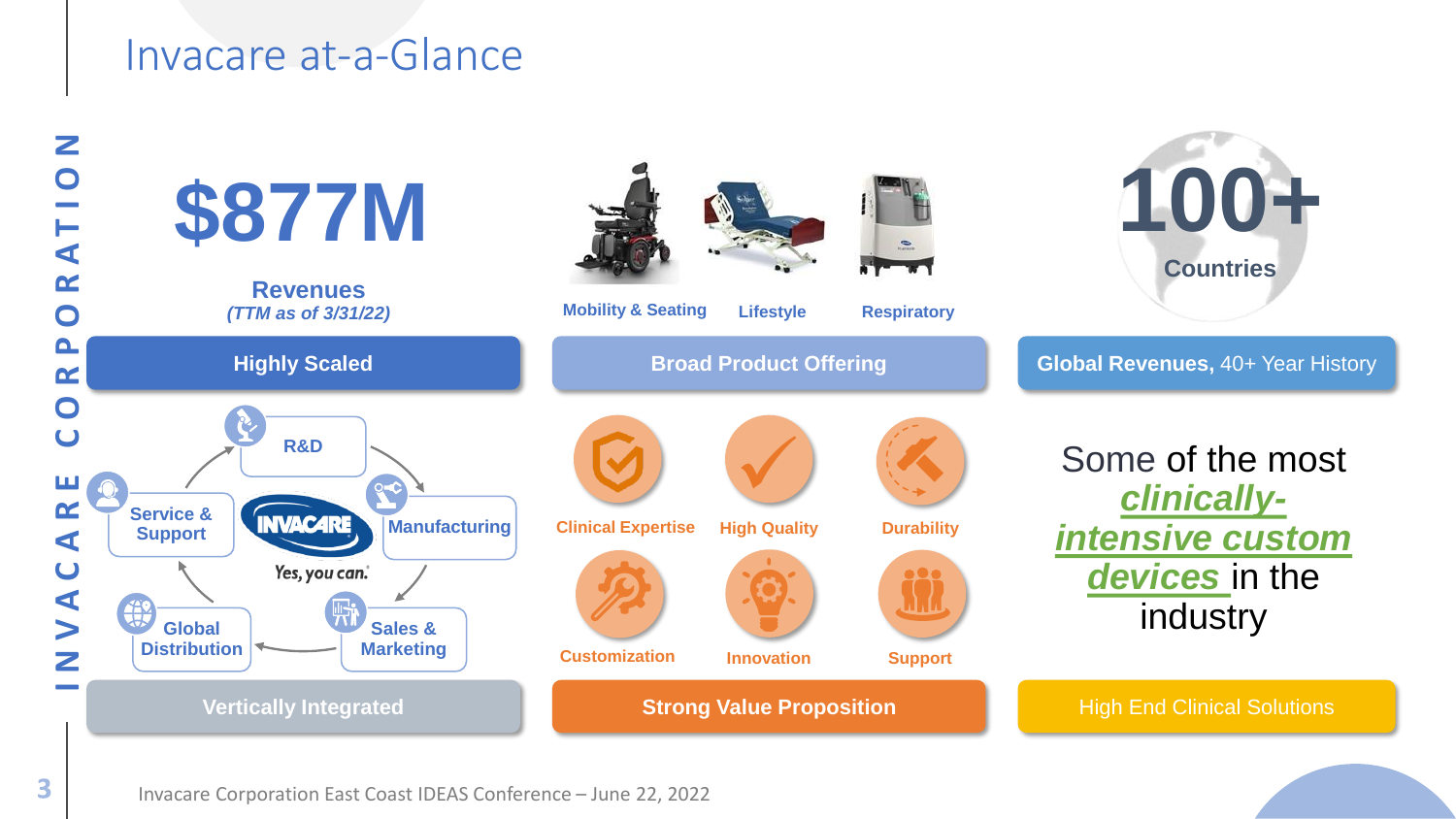### Invacare at-a-Glance



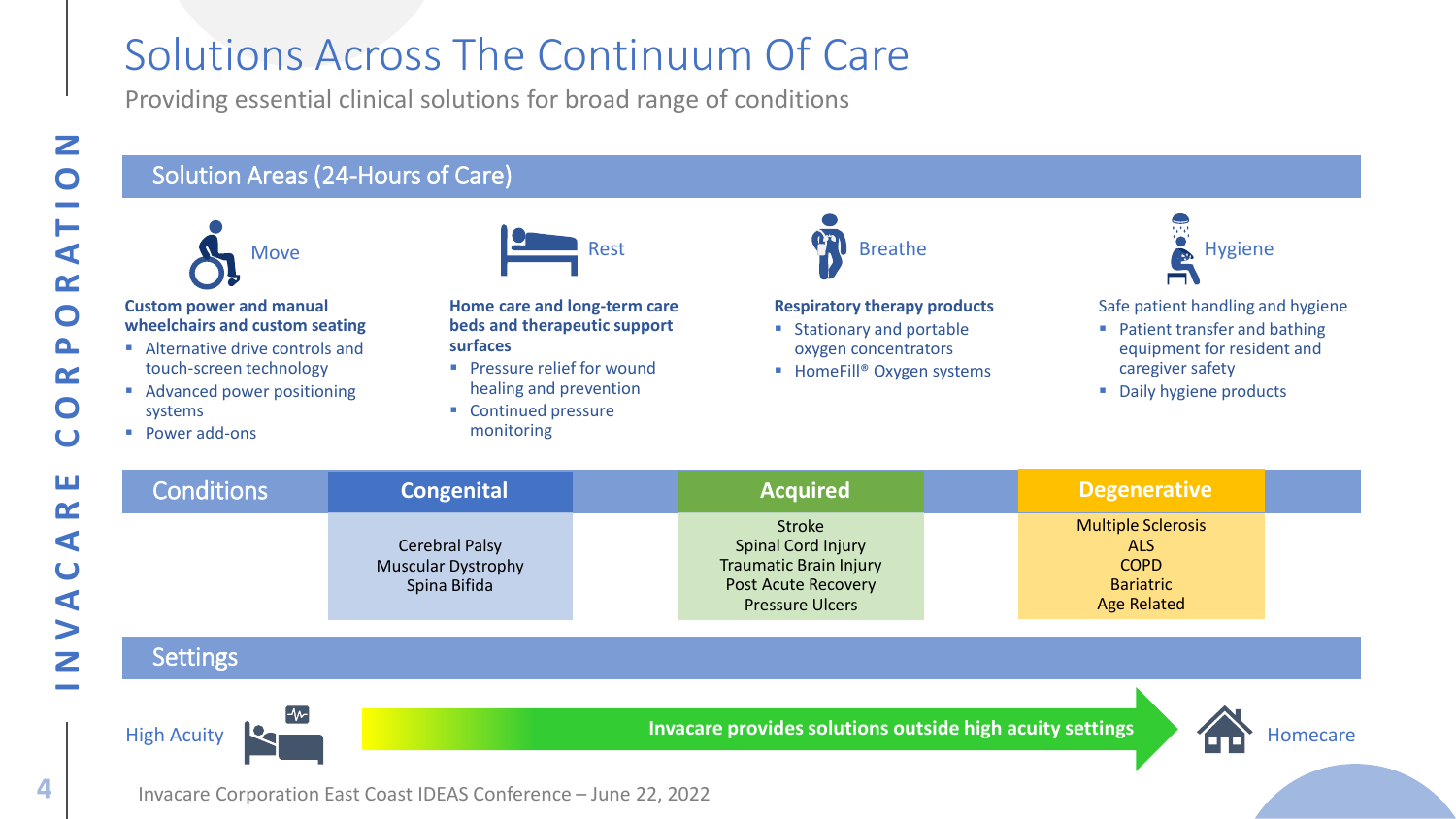## Solutions Across The Continuum Of Care

Providing essential clinical solutions for broad range of conditions

#### Solution Areas (24-Hours of Care)



#### **Custom power and manual wheelchairs and custom seating**

- Alternative drive controls and touch-screen technology
- Advanced power positioning systems
- Power add-ons



#### **Home care and long-term care beds and therapeutic support surfaces**

- **•** Pressure relief for wound healing and prevention
- Continued pressure monitoring



#### **Respiratory therapy products**

- Stationary and portable oxygen concentrators
- HomeFill<sup>®</sup> Oxygen systems



#### Safe patient handling and hygiene

- Patient transfer and bathing equipment for resident and caregiver safety
- Daily hygiene products

| <b>Conditions</b> | <b>Congenital</b>                                                  | <b>Acquired</b>                                                                                                              | <b>Degenerative</b>                                                                       |
|-------------------|--------------------------------------------------------------------|------------------------------------------------------------------------------------------------------------------------------|-------------------------------------------------------------------------------------------|
|                   | <b>Cerebral Palsy</b><br><b>Muscular Dystrophy</b><br>Spina Bifida | Stroke<br><b>Spinal Cord Injury</b><br><b>Traumatic Brain Injury</b><br><b>Post Acute Recovery</b><br><b>Pressure Ulcers</b> | <b>Multiple Sclerosis</b><br>ALS<br><b>COPD</b><br><b>Bariatric</b><br><b>Age Related</b> |
| Settings          |                                                                    |                                                                                                                              |                                                                                           |



**Invacare provides solutions outside high acuity settings and the Homecare expansions of the Acuity Settings and Homecare Reports of the Homecare Reports of the Homecare Reports of the Homecare Reports of the Acuity Settin** 

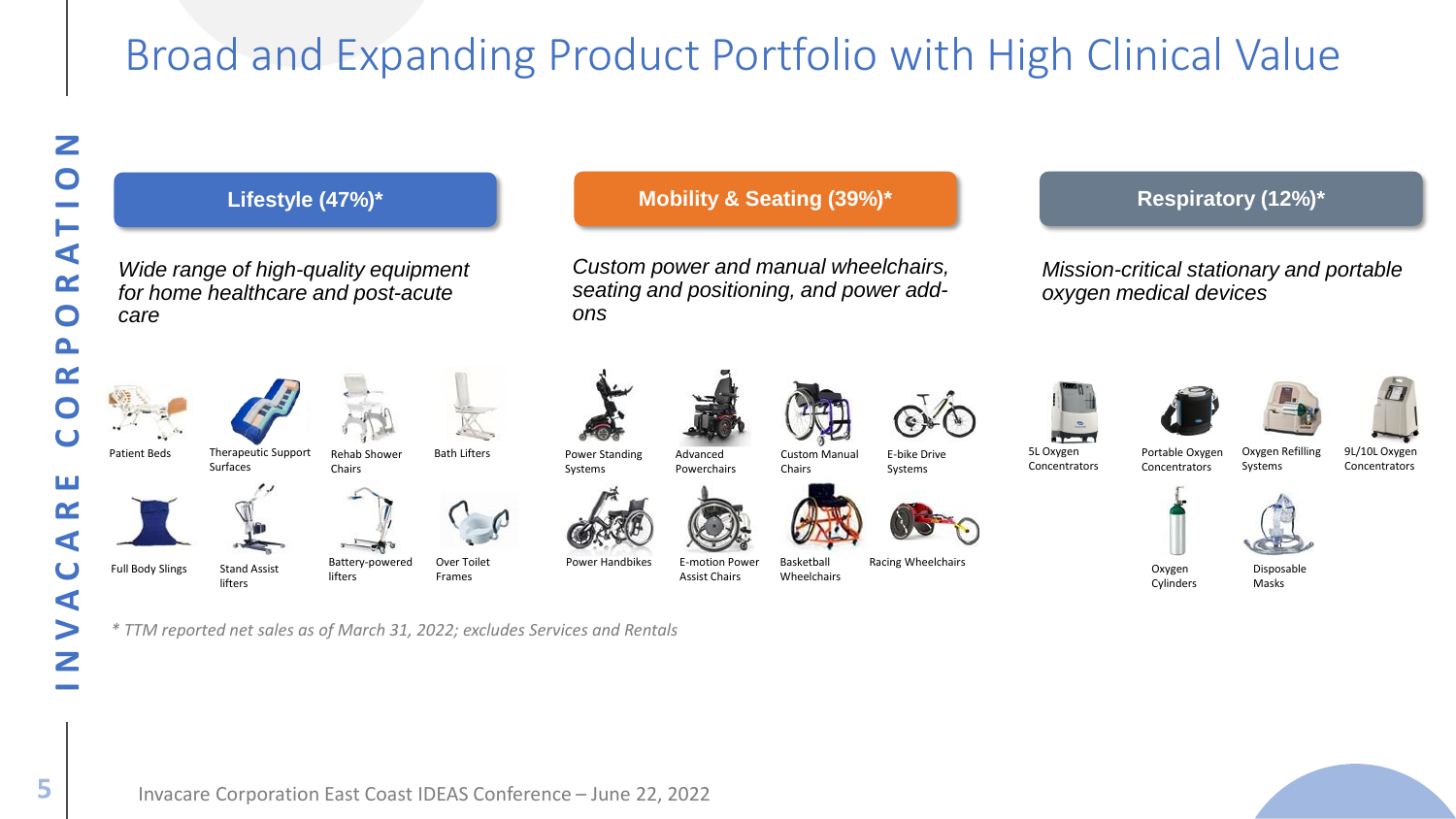# Broad and Expanding Product Portfolio with High Clinical Value



*\* TTM reported net sales as of March 31, 2022; excludes Services and Rentals*

*Mission-critical stationary and portable oxygen medical devices*



Systems

9L/10L Oxygen Concentrators

Disposable



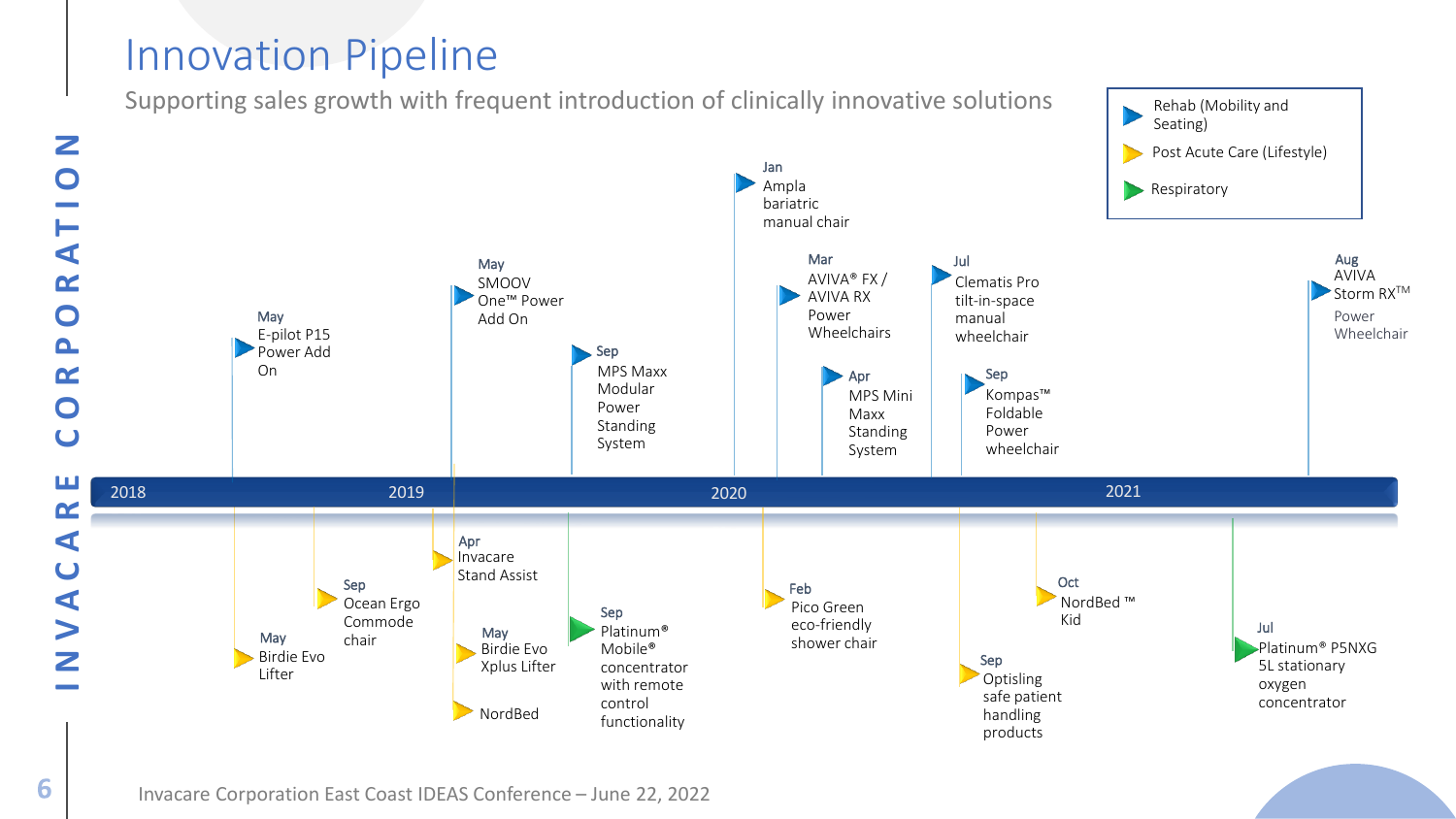### Innovation Pipeline



 $\mathbf\Omega$ 

 $\blacktriangleleft$ œ

 $\bigcap$ 

 $\blacksquare$  $\alpha$ 

 $\mathbf\Omega$  $\cup$ 

ш  $\mathbf{\alpha}$  $\blacktriangleleft$ 

> $\blacktriangleleft$  $\blacktriangleright$

Z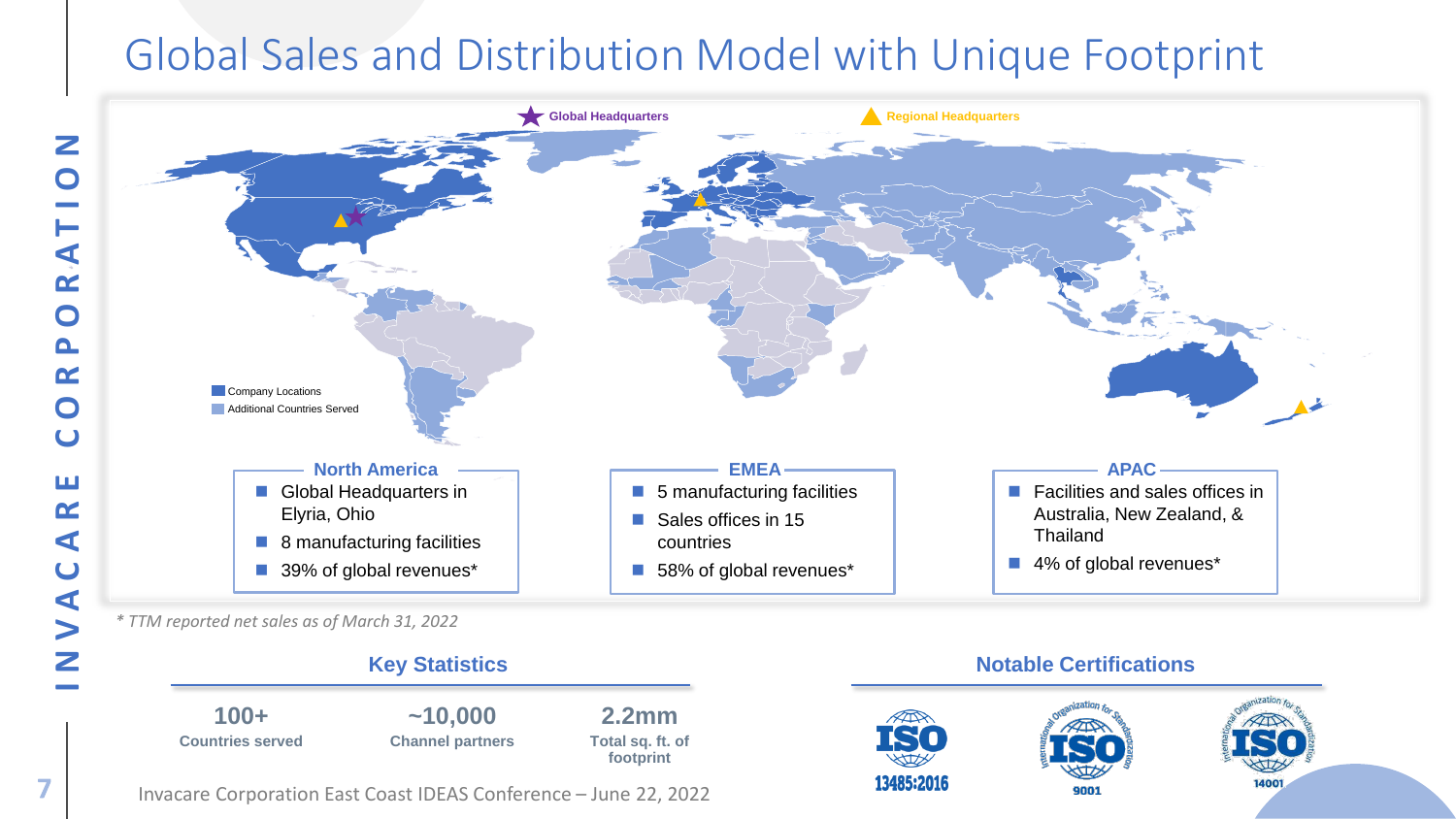### Global Sales and Distribution Model with Unique Footprint



13485:2016

9001

14001



Invacare Corporation East Coast IDEAS Conference – June 22, 2022

7

Z

 $\mathbf O$ 

┝  $\blacktriangleleft$  $\alpha$ 

 $\mathbf O$ 

 $\blacksquare$  $\alpha$ 

 $\mathbf O$  $\cup$ 

ш  $\alpha$ 

 $\blacktriangleleft$  $\overline{\mathbf{C}}$ 

 $\blacktriangleleft$  $\blacktriangleright$ 

Z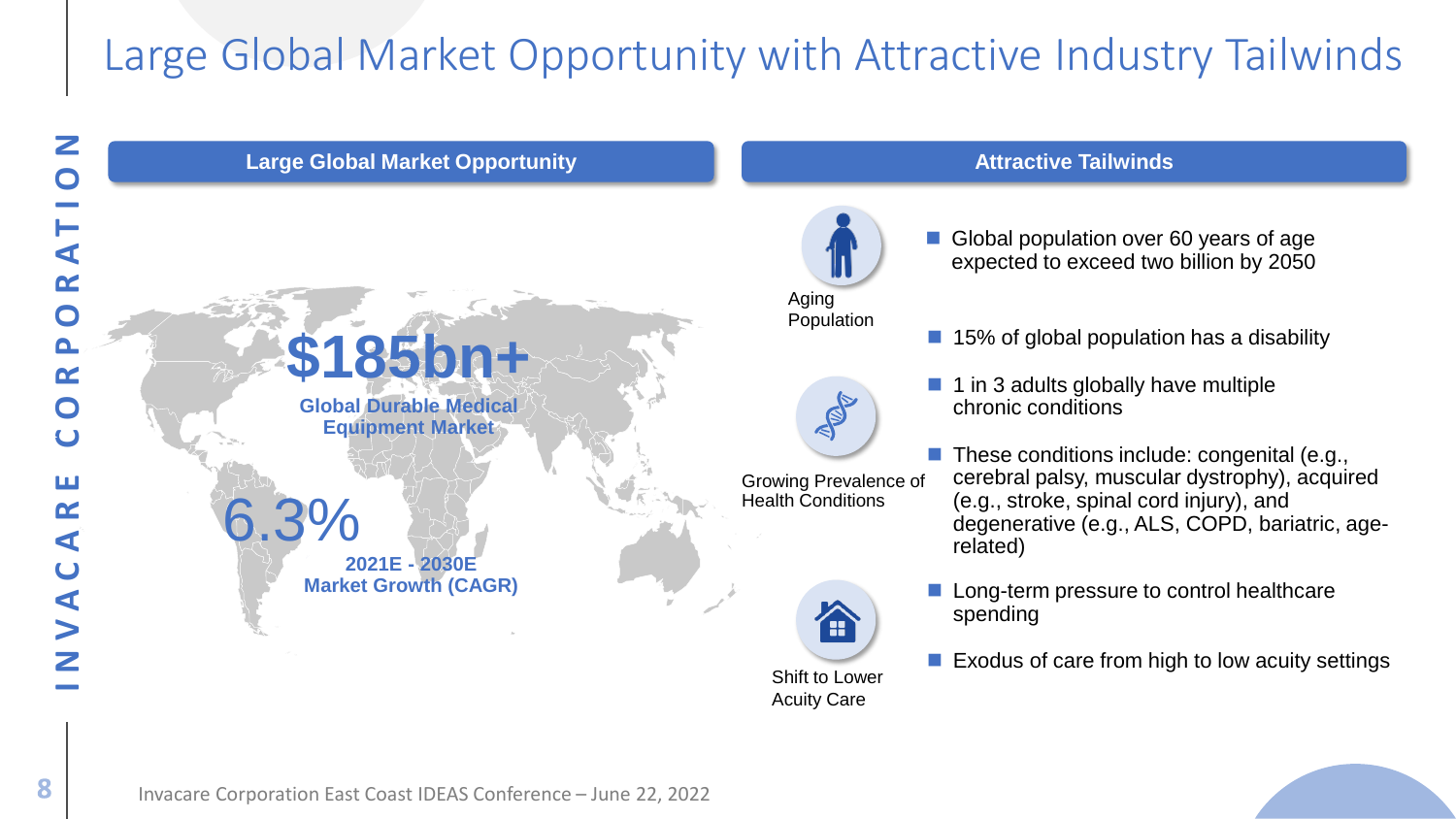# Large Global Market Opportunity with Attractive Industry Tailwinds

Acuity Care



#### Invacare Corporation East Coast IDEAS Conference – June 22, 2022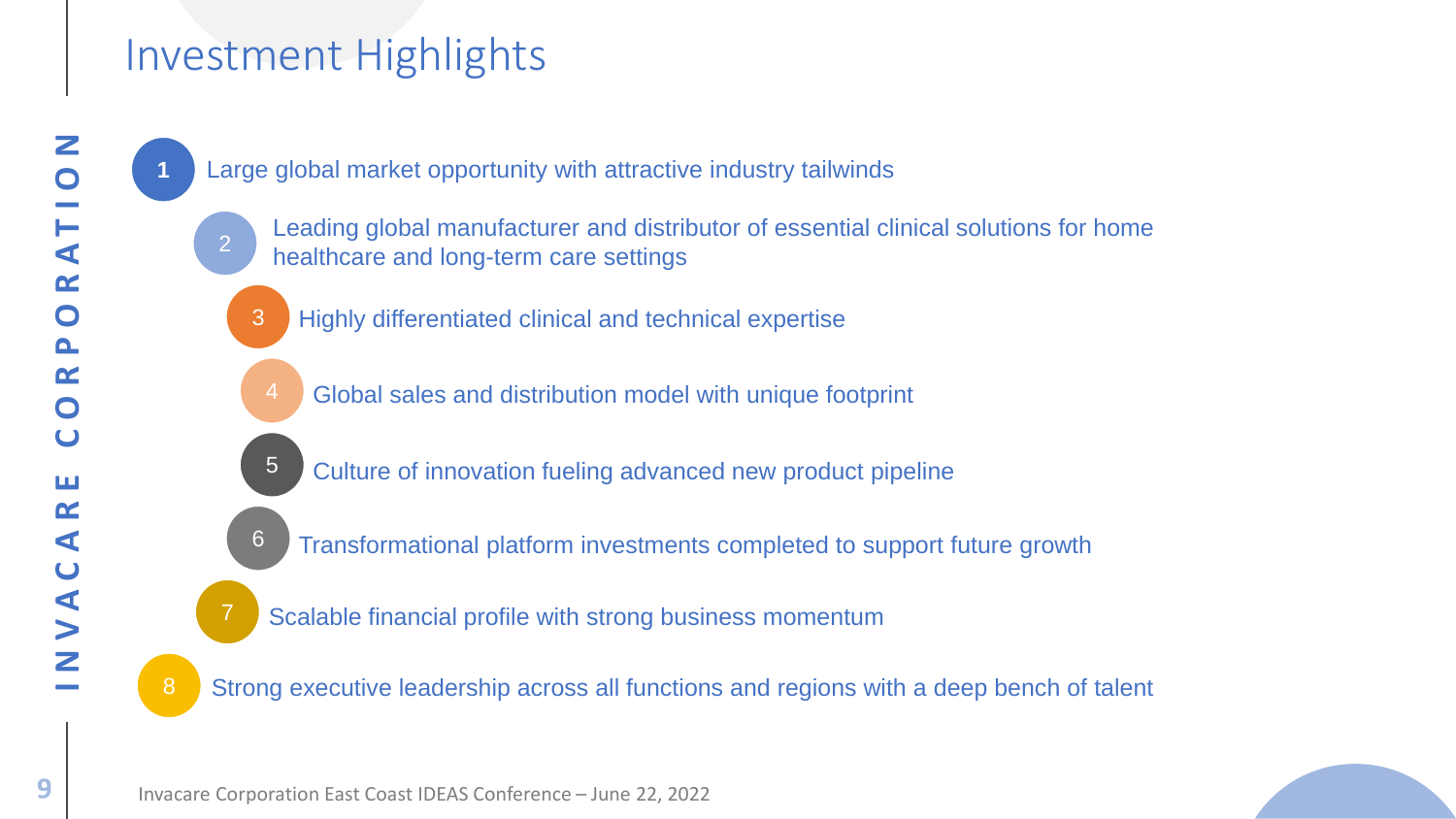### Investment Highlights

Large global market opportunity with attractive industry tailwinds

2

5

6

7

8

**1**

- Leading global manufacturer and distributor of essential clinical solutions for home healthcare and long-term care settings
- Highly differentiated clinical and technical expertise 3
	- 4 Global sales and distribution model with unique footprint
	- Culture of innovation fueling advanced new product pipeline
	- Transformational platform investments completed to support future growth
- Scalable financial profile with strong business momentum
- Strong executive leadership across all functions and regions with a deep bench of talent